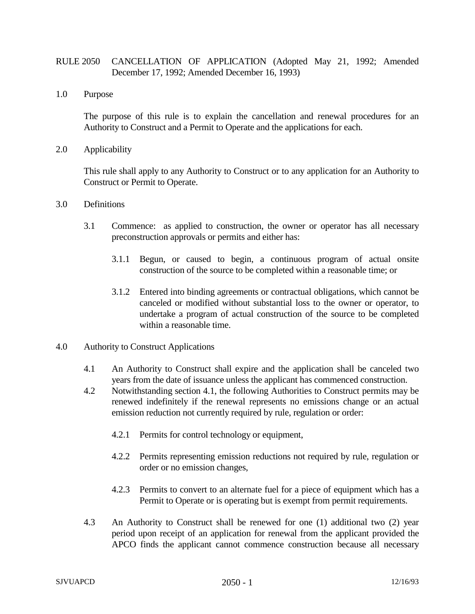## RULE 2050 CANCELLATION OF APPLICATION (Adopted May 21, 1992; Amended December 17, 1992; Amended December 16, 1993)

1.0 Purpose

The purpose of this rule is to explain the cancellation and renewal procedures for an Authority to Construct and a Permit to Operate and the applications for each.

2.0 Applicability

This rule shall apply to any Authority to Construct or to any application for an Authority to Construct or Permit to Operate.

- 3.0 Definitions
	- 3.1 Commence: as applied to construction, the owner or operator has all necessary preconstruction approvals or permits and either has:
		- 3.1.1 Begun, or caused to begin, a continuous program of actual onsite construction of the source to be completed within a reasonable time; or
		- 3.1.2 Entered into binding agreements or contractual obligations, which cannot be canceled or modified without substantial loss to the owner or operator, to undertake a program of actual construction of the source to be completed within a reasonable time.
- 4.0 Authority to Construct Applications
	- 4.1 An Authority to Construct shall expire and the application shall be canceled two years from the date of issuance unless the applicant has commenced construction.
	- 4.2 Notwithstanding section 4.1, the following Authorities to Construct permits may be renewed indefinitely if the renewal represents no emissions change or an actual emission reduction not currently required by rule, regulation or order:
		- 4.2.1 Permits for control technology or equipment,
		- 4.2.2 Permits representing emission reductions not required by rule, regulation or order or no emission changes,
		- 4.2.3 Permits to convert to an alternate fuel for a piece of equipment which has a Permit to Operate or is operating but is exempt from permit requirements.
	- 4.3 An Authority to Construct shall be renewed for one (1) additional two (2) year period upon receipt of an application for renewal from the applicant provided the APCO finds the applicant cannot commence construction because all necessary